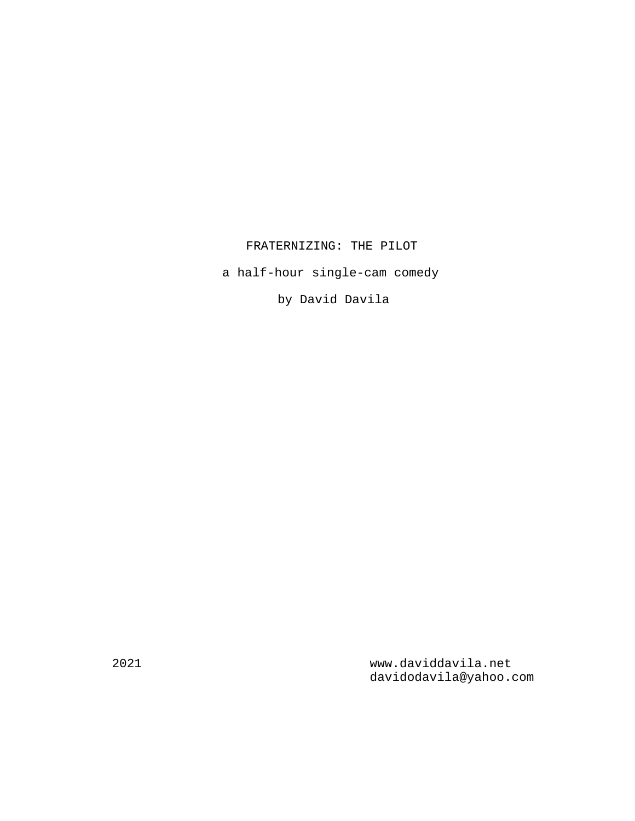# FRATERNIZING: THE PILOT

a half-hour single-cam comedy

by David Davila

2021 www.daviddavila.net davidodavila@yahoo.com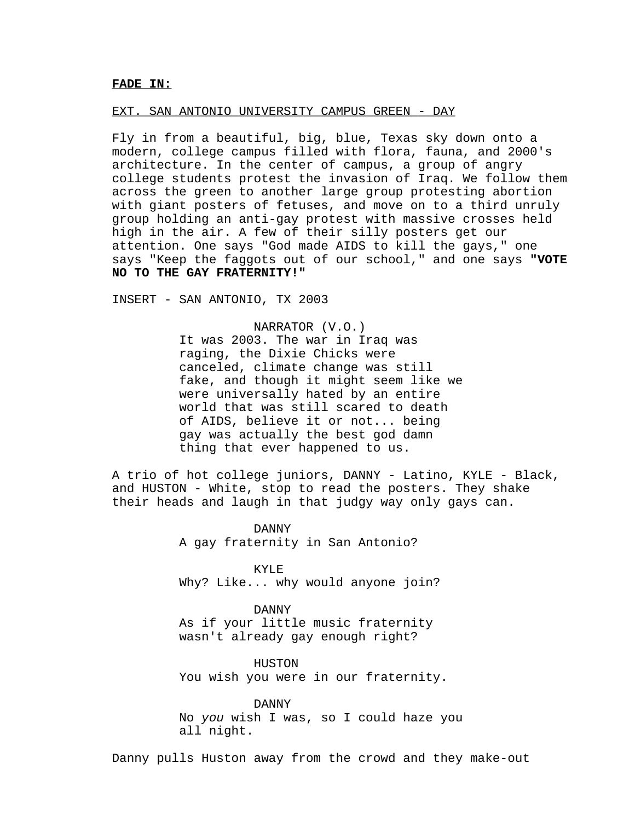### FADE IN:

#### EXT. SAN ANTONIO UNIVERSITY CAMPUS GREEN - DAY

Fly in from a beautiful, big, blue, Texas sky down onto a modern, college campus filled with flora, fauna, and 2000's architecture. In the center of campus, a group of angry college students protest the invasion of Iraq. We follow them across the green to another large group protesting abortion with giant posters of fetuses, and move on to a third unruly group holding an anti-gay protest with massive crosses held high in the air. A few of their silly posters get our attention. One says "God made AIDS to kill the gays," one says "Keep the faggots out of our school," and one says **"VOTE NO TO THE GAY FRATERNITY!"**

INSERT - SAN ANTONIO, TX 2003

NARRATOR (V.O.) It was 2003. The war in Iraq was raging, the Dixie Chicks were canceled, climate change was still fake, and though it might seem like we were universally hated by an entire world that was still scared to death of AIDS, believe it or not... being gay was actually the best god damn thing that ever happened to us.

A trio of hot college juniors, DANNY - Latino, KYLE - Black, and HUSTON - White, stop to read the posters. They shake their heads and laugh in that judgy way only gays can.

> DANNY A gay fraternity in San Antonio?

KYLE Why? Like... why would anyone join?

DANNY As if your little music fraternity wasn't already gay enough right?

HUSTON You wish you were in our fraternity.

DANNY No you wish I was, so I could haze you all night.

Danny pulls Huston away from the crowd and they make-out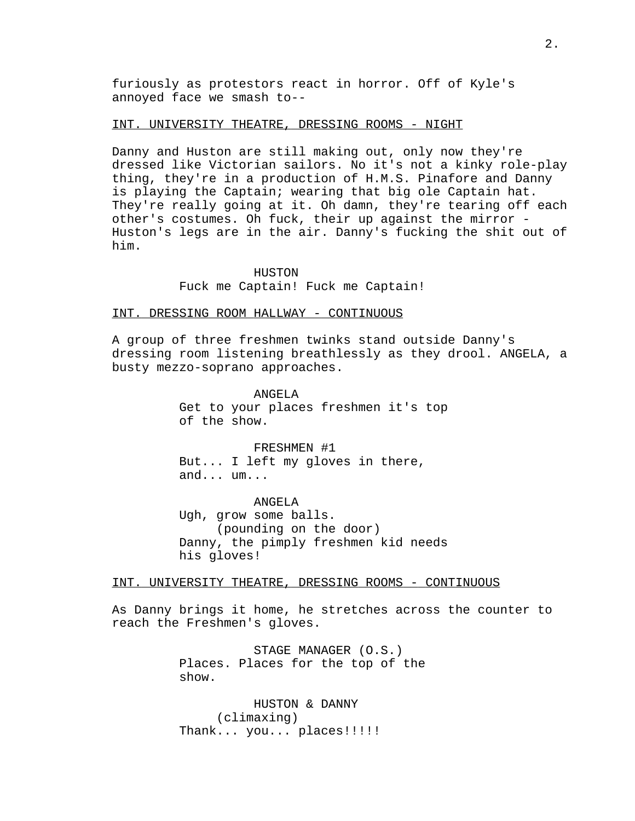furiously as protestors react in horror. Off of Kyle's annoyed face we smash to--

## INT. UNIVERSITY THEATRE, DRESSING ROOMS - NIGHT

Danny and Huston are still making out, only now they're dressed like Victorian sailors. No it's not a kinky role-play thing, they're in a production of H.M.S. Pinafore and Danny is playing the Captain; wearing that big ole Captain hat. They're really going at it. Oh damn, they're tearing off each other's costumes. Oh fuck, their up against the mirror - Huston's legs are in the air. Danny's fucking the shit out of him.

> HUSTON Fuck me Captain! Fuck me Captain!

## INT. DRESSING ROOM HALLWAY - CONTINUOUS

A group of three freshmen twinks stand outside Danny's dressing room listening breathlessly as they drool. ANGELA, a busty mezzo-soprano approaches.

> ANGELA Get to your places freshmen it's top of the show.

FRESHMEN #1 But... I left my gloves in there, and... um...

ANGELA Ugh, grow some balls. (pounding on the door) Danny, the pimply freshmen kid needs his gloves!

### INT. UNIVERSITY THEATRE, DRESSING ROOMS - CONTINUOUS

As Danny brings it home, he stretches across the counter to reach the Freshmen's gloves.

> STAGE MANAGER (O.S.) Places. Places for the top of the show.

HUSTON & DANNY (climaxing) Thank... you... places!!!!!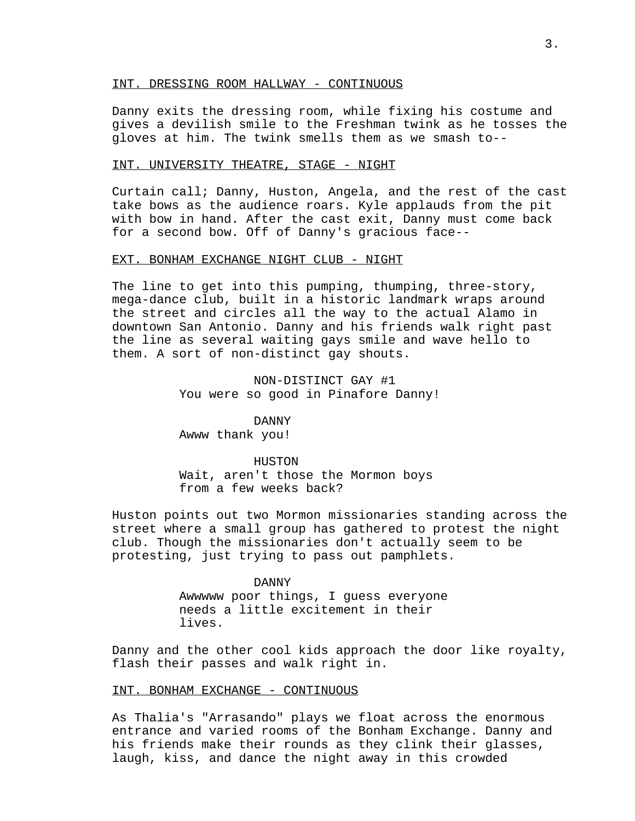### INT. DRESSING ROOM HALLWAY - CONTINUOUS

Danny exits the dressing room, while fixing his costume and gives a devilish smile to the Freshman twink as he tosses the gloves at him. The twink smells them as we smash to--

### INT. UNIVERSITY THEATRE, STAGE - NIGHT

Curtain call; Danny, Huston, Angela, and the rest of the cast take bows as the audience roars. Kyle applauds from the pit with bow in hand. After the cast exit, Danny must come back for a second bow. Off of Danny's gracious face--

#### EXT. BONHAM EXCHANGE NIGHT CLUB - NIGHT

The line to get into this pumping, thumping, three-story, mega-dance club, built in a historic landmark wraps around the street and circles all the way to the actual Alamo in downtown San Antonio. Danny and his friends walk right past the line as several waiting gays smile and wave hello to them. A sort of non-distinct gay shouts.

> NON-DISTINCT GAY #1 You were so good in Pinafore Danny!

## DANNY

Awww thank you!

#### HUSTON

Wait, aren't those the Mormon boys from a few weeks back?

Huston points out two Mormon missionaries standing across the street where a small group has gathered to protest the night club. Though the missionaries don't actually seem to be protesting, just trying to pass out pamphlets.

> DANNY Awwwww poor things, I guess everyone needs a little excitement in their lives.

Danny and the other cool kids approach the door like royalty, flash their passes and walk right in.

### INT. BONHAM EXCHANGE - CONTINUOUS

As Thalia's "Arrasando" plays we float across the enormous entrance and varied rooms of the Bonham Exchange. Danny and his friends make their rounds as they clink their glasses, laugh, kiss, and dance the night away in this crowded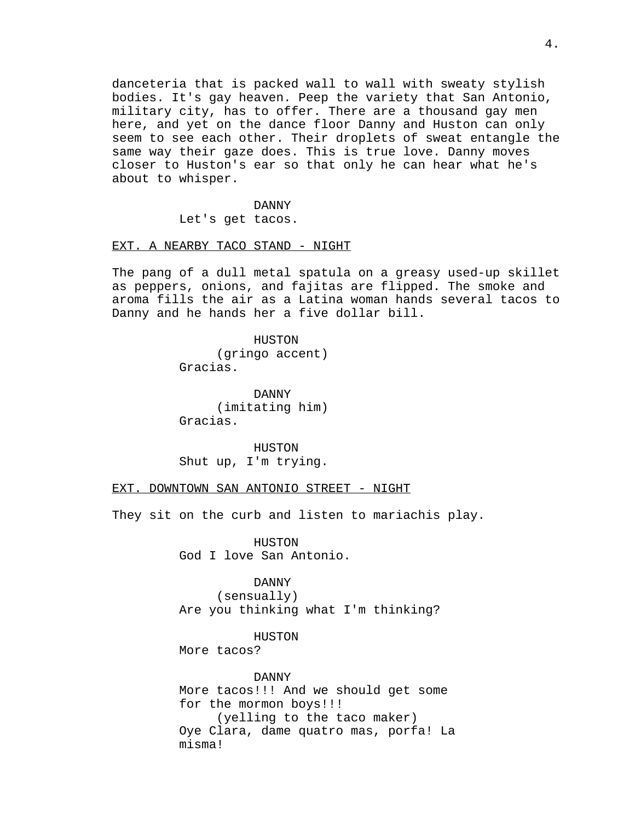danceteria that is packed wall to wall with sweaty stylish bodies. It's gay heaven. Peep the variety that San Antonio, military city, has to offer. There are a thousand gay men here, and yet on the dance floor Danny and Huston can only seem to see each other. Their droplets of sweat entangle the same way their gaze does. This is true love. Danny moves closer to Huston's ear so that only he can hear what he's about to whisper.

> DANNY Let's get tacos.

### EXT. A NEARBY TACO STAND - NIGHT

The pang of a dull metal spatula on a greasy used-up skillet as peppers, onions, and fajitas are flipped. The smoke and aroma fills the air as a Latina woman hands several tacos to Danny and he hands her a five dollar bill.

> HUSTON (gringo accent) Gracias.

> DANNY (imitating him) Gracias.

> HUSTON Shut up, I'm trying.

EXT. DOWNTOWN SAN ANTONIO STREET - NIGHT

They sit on the curb and listen to mariachis play.

HUSTON God I love San Antonio.

DANNY (sensually) Are you thinking what I'm thinking?

HUSTON

More tacos?

DANNY More tacos!!! And we should get some for the mormon boys!!! (yelling to the taco maker) Oye Clara, dame quatro mas, porfa! La misma!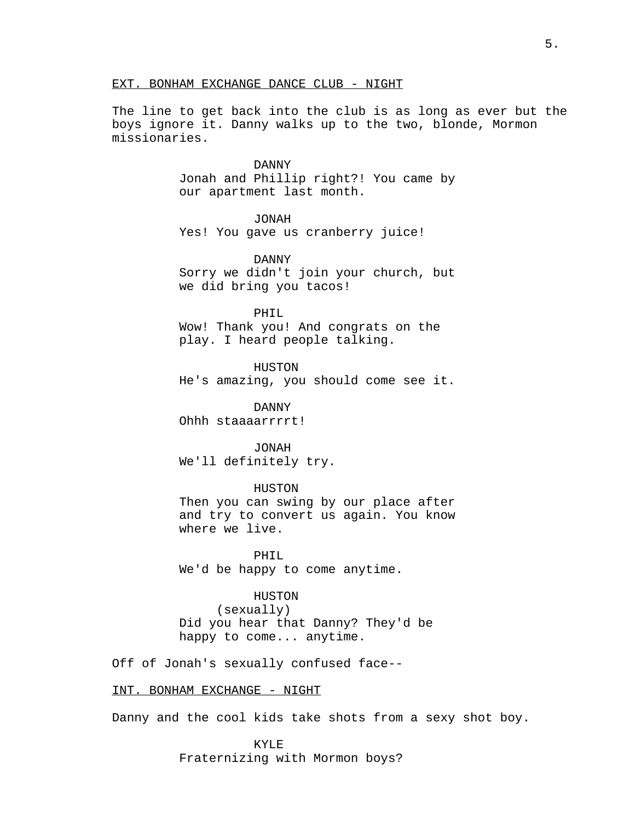## EXT. BONHAM EXCHANGE DANCE CLUB - NIGHT

The line to get back into the club is as long as ever but the boys ignore it. Danny walks up to the two, blonde, Mormon missionaries.

> DANNY Jonah and Phillip right?! You came by our apartment last month.

> > JONAH

Yes! You gave us cranberry juice!

DANNY Sorry we didn't join your church, but we did bring you tacos!

PHIL Wow! Thank you! And congrats on the play. I heard people talking.

HUSTON He's amazing, you should come see it.

DANNY Ohhh staaaarrrrt!

JONAH We'll definitely try.

HUSTON Then you can swing by our place after

and try to convert us again. You know where we live.

PHIL We'd be happy to come anytime.

HUSTON

(sexually) Did you hear that Danny? They'd be happy to come... anytime.

Off of Jonah's sexually confused face--

INT. BONHAM EXCHANGE - NIGHT

Danny and the cool kids take shots from a sexy shot boy.

KYLE Fraternizing with Mormon boys?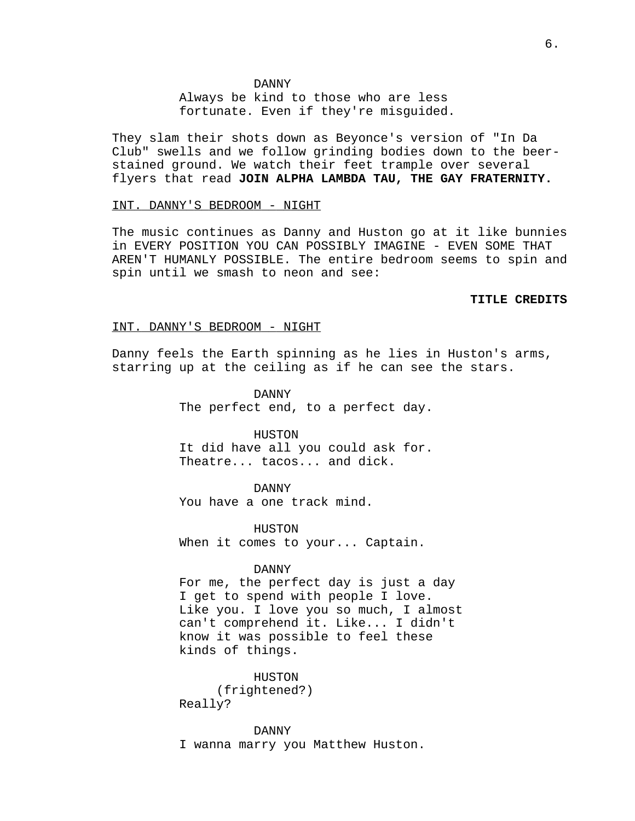#### DANNY

Always be kind to those who are less fortunate. Even if they're misguided.

They slam their shots down as Beyonce's version of "In Da Club" swells and we follow grinding bodies down to the beerstained ground. We watch their feet trample over several flyers that read **JOIN ALPHA LAMBDA TAU, THE GAY FRATERNITY.**

### INT. DANNY'S BEDROOM - NIGHT

The music continues as Danny and Huston go at it like bunnies in EVERY POSITION YOU CAN POSSIBLY IMAGINE - EVEN SOME THAT AREN'T HUMANLY POSSIBLE. The entire bedroom seems to spin and spin until we smash to neon and see:

#### **TITLE CREDITS**

#### INT. DANNY'S BEDROOM - NIGHT

Danny feels the Earth spinning as he lies in Huston's arms, starring up at the ceiling as if he can see the stars.

> DANNY The perfect end, to a perfect day.

> HUSTON It did have all you could ask for. Theatre... tacos... and dick.

> > DANNY

You have a one track mind.

HUSTON When it comes to your... Captain.

## DANNY

For me, the perfect day is just a day I get to spend with people I love. Like you. I love you so much, I almost can't comprehend it. Like... I didn't know it was possible to feel these kinds of things.

> HUSTON (frightened?)

Really?

DANNY

I wanna marry you Matthew Huston.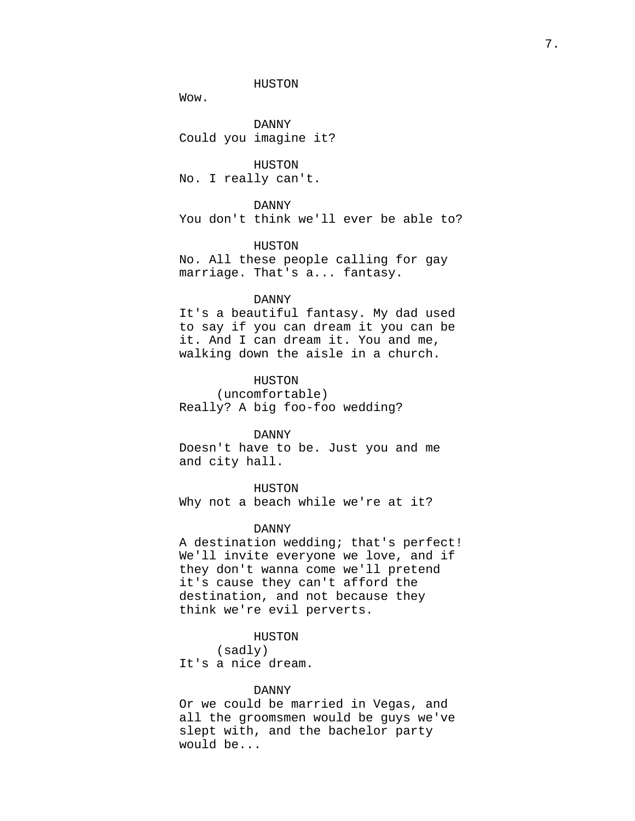Wow.

DANNY Could you imagine it?

HUSTON No. I really can't.

DANNY You don't think we'll ever be able to?

HUSTON No. All these people calling for gay marriage. That's a... fantasy.

#### DANNY

It's a beautiful fantasy. My dad used to say if you can dream it you can be it. And I can dream it. You and me, walking down the aisle in a church.

HUSTON (uncomfortable) Really? A big foo-foo wedding?

DANNY

Doesn't have to be. Just you and me and city hall.

HUSTON Why not a beach while we're at it?

#### DANNY

A destination wedding; that's perfect! We'll invite everyone we love, and if they don't wanna come we'll pretend it's cause they can't afford the destination, and not because they think we're evil perverts.

HUSTON

(sadly) It's a nice dream.

### DANNY

Or we could be married in Vegas, and all the groomsmen would be guys we've slept with, and the bachelor party would be...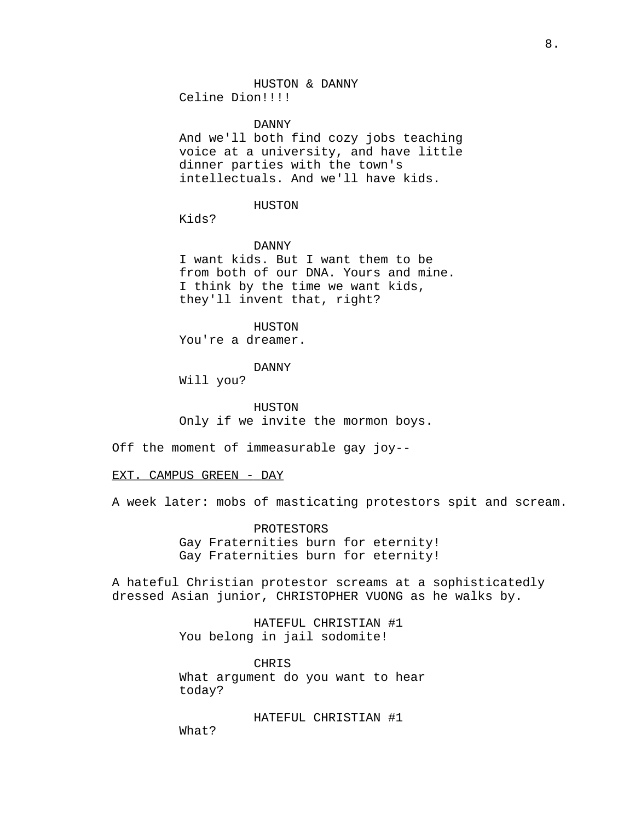DANNY

And we'll both find cozy jobs teaching voice at a university, and have little dinner parties with the town's intellectuals. And we'll have kids.

HUSTON

Kids?

DANNY

I want kids. But I want them to be from both of our DNA. Yours and mine. I think by the time we want kids, they'll invent that, right?

HUSTON You're a dreamer.

DANNY

Will you?

HUSTON Only if we invite the mormon boys.

Off the moment of immeasurable gay joy--

EXT. CAMPUS GREEN - DAY

A week later: mobs of masticating protestors spit and scream.

PROTESTORS Gay Fraternities burn for eternity! Gay Fraternities burn for eternity!

A hateful Christian protestor screams at a sophisticatedly dressed Asian junior, CHRISTOPHER VUONG as he walks by.

> HATEFUL CHRISTIAN #1 You belong in jail sodomite!

CHRIS What argument do you want to hear today?

HATEFUL CHRISTIAN #1 What?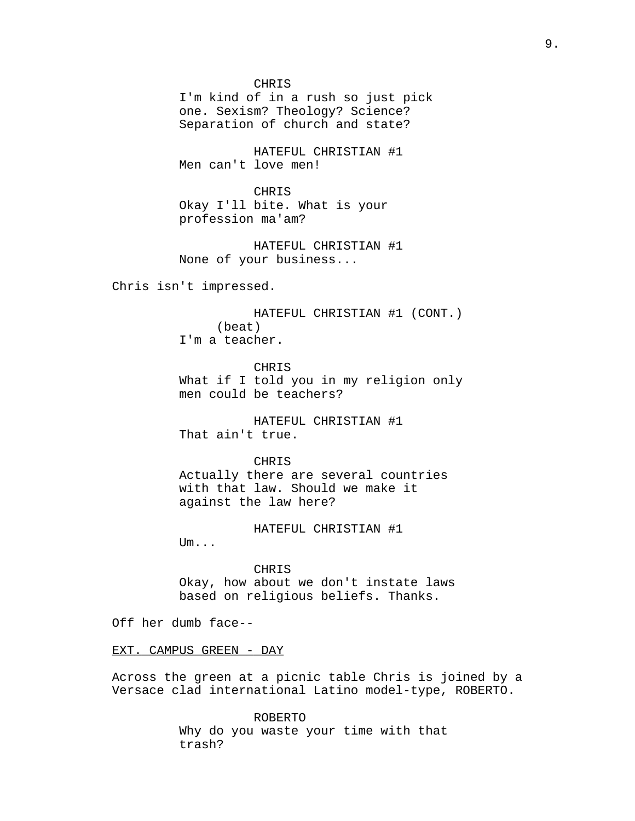CHRIS

I'm kind of in a rush so just pick one. Sexism? Theology? Science? Separation of church and state?

HATEFUL CHRISTIAN #1 Men can't love men!

**CHRIS** Okay I'll bite. What is your profession ma'am?

HATEFUL CHRISTIAN #1 None of your business...

Chris isn't impressed.

HATEFUL CHRISTIAN #1 (CONT.) (beat) I'm a teacher.

CHR<sub>T</sub>S What if I told you in my religion only men could be teachers?

HATEFUL CHRISTIAN #1 That ain't true.

CHRIS

Actually there are several countries with that law. Should we make it against the law here?

HATEFUL CHRISTIAN #1

Um...

CHRIS Okay, how about we don't instate laws based on religious beliefs. Thanks.

Off her dumb face--

EXT. CAMPUS GREEN - DAY

Across the green at a picnic table Chris is joined by a Versace clad international Latino model-type, ROBERTO.

> ROBERTO Why do you waste your time with that trash?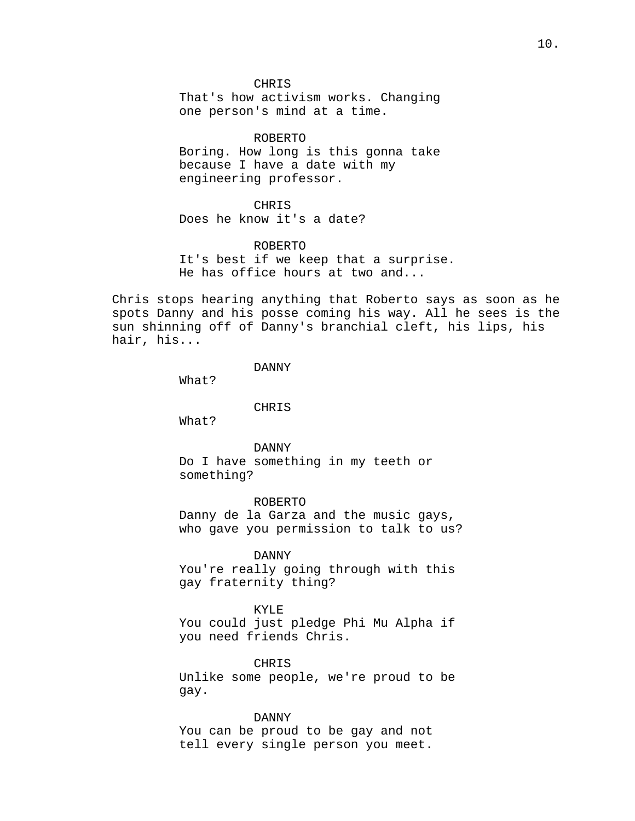CHRIS That's how activism works. Changing one person's mind at a time.

ROBERTO Boring. How long is this gonna take because I have a date with my engineering professor.

CHRIS Does he know it's a date?

ROBERTO It's best if we keep that a surprise. He has office hours at two and...

Chris stops hearing anything that Roberto says as soon as he spots Danny and his posse coming his way. All he sees is the sun shinning off of Danny's branchial cleft, his lips, his hair, his...

DANNY

What?

CHRIS

What?

DANNY Do I have something in my teeth or something?

ROBERTO Danny de la Garza and the music gays, who gave you permission to talk to us?

DANNY

You're really going through with this gay fraternity thing?

KYLE

You could just pledge Phi Mu Alpha if you need friends Chris.

CHRIS

Unlike some people, we're proud to be gay.

DANNY You can be proud to be gay and not tell every single person you meet.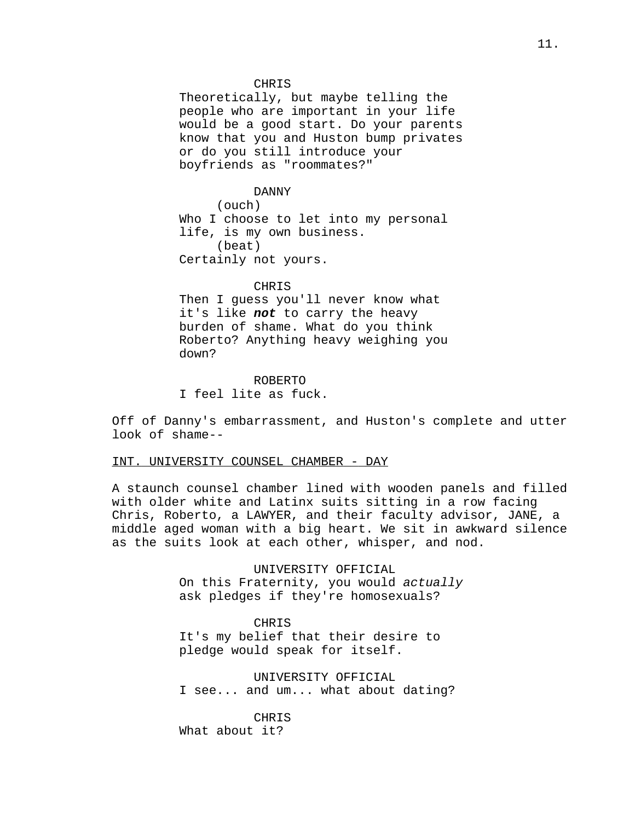#### CHRIS

Theoretically, but maybe telling the people who are important in your life would be a good start. Do your parents know that you and Huston bump privates or do you still introduce your boyfriends as "roommates?"

#### DANNY

(ouch) Who I choose to let into my personal life, is my own business. (beat) Certainly not yours.

#### CHRIS

Then I guess you'll never know what it's like **not** to carry the heavy burden of shame. What do you think Roberto? Anything heavy weighing you down?

ROBERTO I feel lite as fuck.

Off of Danny's embarrassment, and Huston's complete and utter look of shame--

## INT. UNIVERSITY COUNSEL CHAMBER - DAY

A staunch counsel chamber lined with wooden panels and filled with older white and Latinx suits sitting in a row facing Chris, Roberto, a LAWYER, and their faculty advisor, JANE, a middle aged woman with a big heart. We sit in awkward silence as the suits look at each other, whisper, and nod.

> UNIVERSITY OFFICIAL On this Fraternity, you would actually ask pledges if they're homosexuals?

#### CHRIS

It's my belief that their desire to pledge would speak for itself.

## UNIVERSITY OFFICIAL I see... and um... what about dating?

CHRIS What about it?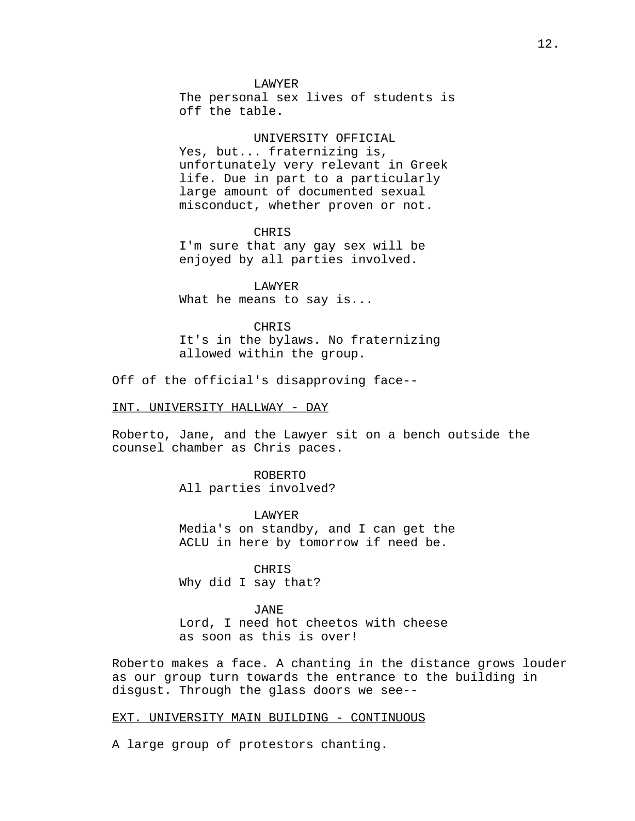LAWYER

The personal sex lives of students is off the table.

UNIVERSITY OFFICIAL Yes, but... fraternizing is, unfortunately very relevant in Greek life. Due in part to a particularly large amount of documented sexual misconduct, whether proven or not.

CHRIS I'm sure that any gay sex will be enjoyed by all parties involved.

LAWYER What he means to say is...

CHRIS It's in the bylaws. No fraternizing allowed within the group.

Off of the official's disapproving face--

INT. UNIVERSITY HALLWAY - DAY

Roberto, Jane, and the Lawyer sit on a bench outside the counsel chamber as Chris paces.

> ROBERTO All parties involved?

LAWYER Media's on standby, and I can get the ACLU in here by tomorrow if need be.

CHRIS Why did I say that?

JANE

Lord, I need hot cheetos with cheese as soon as this is over!

Roberto makes a face. A chanting in the distance grows louder as our group turn towards the entrance to the building in disgust. Through the glass doors we see--

## EXT. UNIVERSITY MAIN BUILDING - CONTINUOUS

A large group of protestors chanting.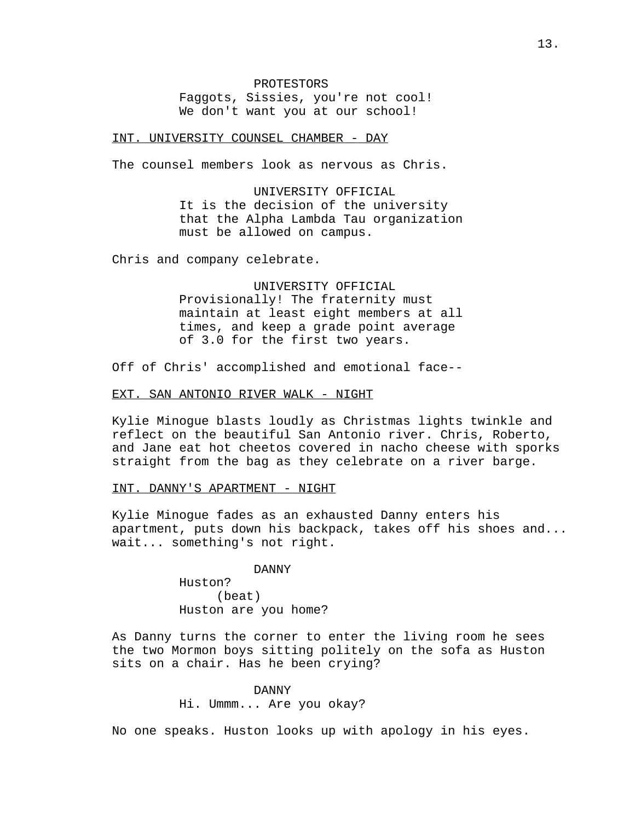#### INT. UNIVERSITY COUNSEL CHAMBER - DAY

The counsel members look as nervous as Chris.

UNIVERSITY OFFICIAL It is the decision of the university that the Alpha Lambda Tau organization must be allowed on campus.

Chris and company celebrate.

UNIVERSITY OFFICIAL Provisionally! The fraternity must maintain at least eight members at all times, and keep a grade point average of 3.0 for the first two years.

Off of Chris' accomplished and emotional face--

### EXT. SAN ANTONIO RIVER WALK - NIGHT

Kylie Minogue blasts loudly as Christmas lights twinkle and reflect on the beautiful San Antonio river. Chris, Roberto, and Jane eat hot cheetos covered in nacho cheese with sporks straight from the bag as they celebrate on a river barge.

#### INT. DANNY'S APARTMENT - NIGHT

Kylie Minogue fades as an exhausted Danny enters his apartment, puts down his backpack, takes off his shoes and... wait... something's not right.

#### DANNY

Huston? (beat) Huston are you home?

As Danny turns the corner to enter the living room he sees the two Mormon boys sitting politely on the sofa as Huston sits on a chair. Has he been crying?

## DANNY

Hi. Ummm... Are you okay?

No one speaks. Huston looks up with apology in his eyes.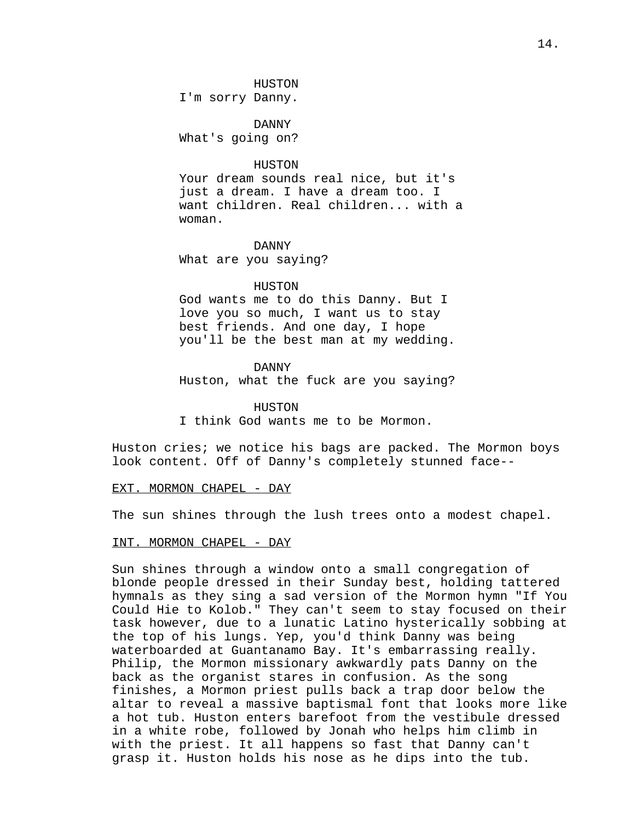#### HUSTON

I'm sorry Danny.

DANNY What's going on?

#### HUSTON

Your dream sounds real nice, but it's just a dream. I have a dream too. I want children. Real children... with a woman.

DANNY

What are you saying?

## HUSTON

God wants me to do this Danny. But I love you so much, I want us to stay best friends. And one day, I hope you'll be the best man at my wedding.

#### DANNY

Huston, what the fuck are you saying?

**HUSTON** 

I think God wants me to be Mormon.

Huston cries; we notice his bags are packed. The Mormon boys look content. Off of Danny's completely stunned face--

#### EXT. MORMON CHAPEL - DAY

The sun shines through the lush trees onto a modest chapel.

## INT. MORMON CHAPEL - DAY

Sun shines through a window onto a small congregation of blonde people dressed in their Sunday best, holding tattered hymnals as they sing a sad version of the Mormon hymn "If You Could Hie to Kolob." They can't seem to stay focused on their task however, due to a lunatic Latino hysterically sobbing at the top of his lungs. Yep, you'd think Danny was being waterboarded at Guantanamo Bay. It's embarrassing really. Philip, the Mormon missionary awkwardly pats Danny on the back as the organist stares in confusion. As the song finishes, a Mormon priest pulls back a trap door below the altar to reveal a massive baptismal font that looks more like a hot tub. Huston enters barefoot from the vestibule dressed in a white robe, followed by Jonah who helps him climb in with the priest. It all happens so fast that Danny can't grasp it. Huston holds his nose as he dips into the tub.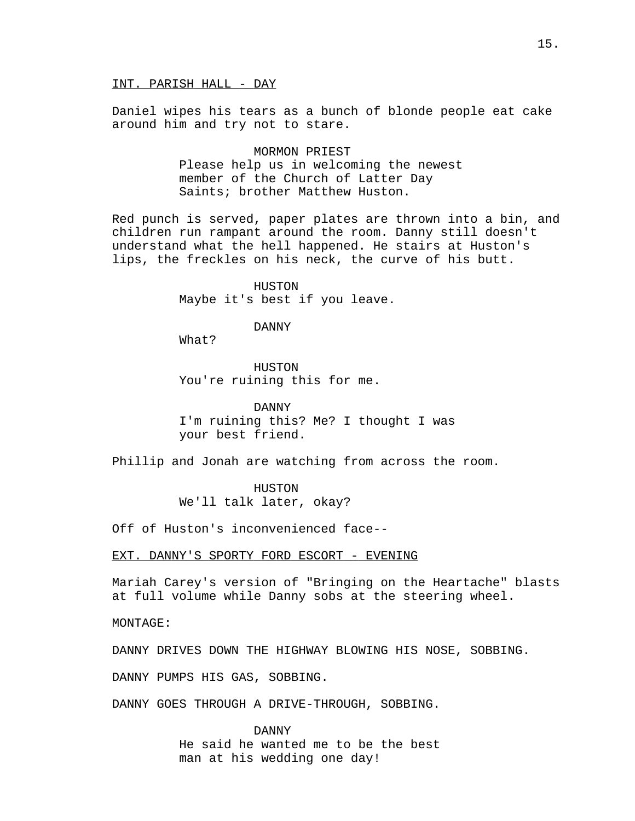Daniel wipes his tears as a bunch of blonde people eat cake around him and try not to stare.

> MORMON PRIEST Please help us in welcoming the newest member of the Church of Latter Day Saints; brother Matthew Huston.

Red punch is served, paper plates are thrown into a bin, and children run rampant around the room. Danny still doesn't understand what the hell happened. He stairs at Huston's lips, the freckles on his neck, the curve of his butt.

> HUSTON Maybe it's best if you leave.

> > DANNY

What?

HUSTON You're ruining this for me.

DANNY I'm ruining this? Me? I thought I was your best friend.

Phillip and Jonah are watching from across the room.

HUSTON

We'll talk later, okay?

Off of Huston's inconvenienced face--

EXT. DANNY'S SPORTY FORD ESCORT - EVENING

Mariah Carey's version of "Bringing on the Heartache" blasts at full volume while Danny sobs at the steering wheel.

MONTAGE:

DANNY DRIVES DOWN THE HIGHWAY BLOWING HIS NOSE, SOBBING.

DANNY PUMPS HIS GAS, SOBBING.

DANNY GOES THROUGH A DRIVE-THROUGH, SOBBING.

DANNY He said he wanted me to be the best man at his wedding one day!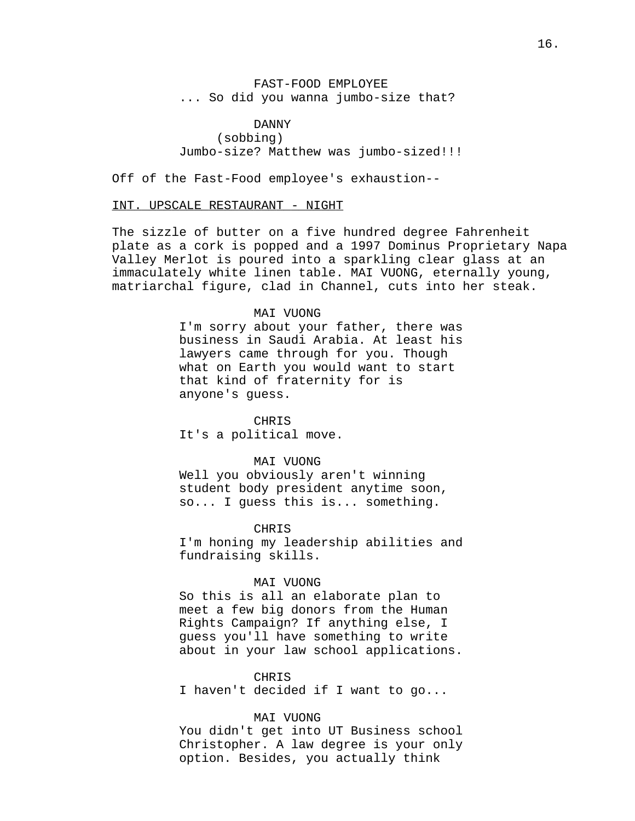FAST-FOOD EMPLOYEE ... So did you wanna jumbo-size that?

DANNY (sobbing) Jumbo-size? Matthew was jumbo-sized!!!

Off of the Fast-Food employee's exhaustion--

### INT. UPSCALE RESTAURANT - NIGHT

The sizzle of butter on a five hundred degree Fahrenheit plate as a cork is popped and a 1997 Dominus Proprietary Napa Valley Merlot is poured into a sparkling clear glass at an immaculately white linen table. MAI VUONG, eternally young, matriarchal figure, clad in Channel, cuts into her steak.

## MAI VUONG

I'm sorry about your father, there was business in Saudi Arabia. At least his lawyers came through for you. Though what on Earth you would want to start that kind of fraternity for is anyone's guess.

#### CHRIS

It's a political move.

#### MAI VUONG

Well you obviously aren't winning student body president anytime soon, so... I guess this is... something.

### CHR<sub>TS</sub>

I'm honing my leadership abilities and fundraising skills.

#### MAI VUONG

So this is all an elaborate plan to meet a few big donors from the Human Rights Campaign? If anything else, I guess you'll have something to write about in your law school applications.

#### CHRIS

I haven't decided if I want to go...

#### MAI VUONG

You didn't get into UT Business school Christopher. A law degree is your only option. Besides, you actually think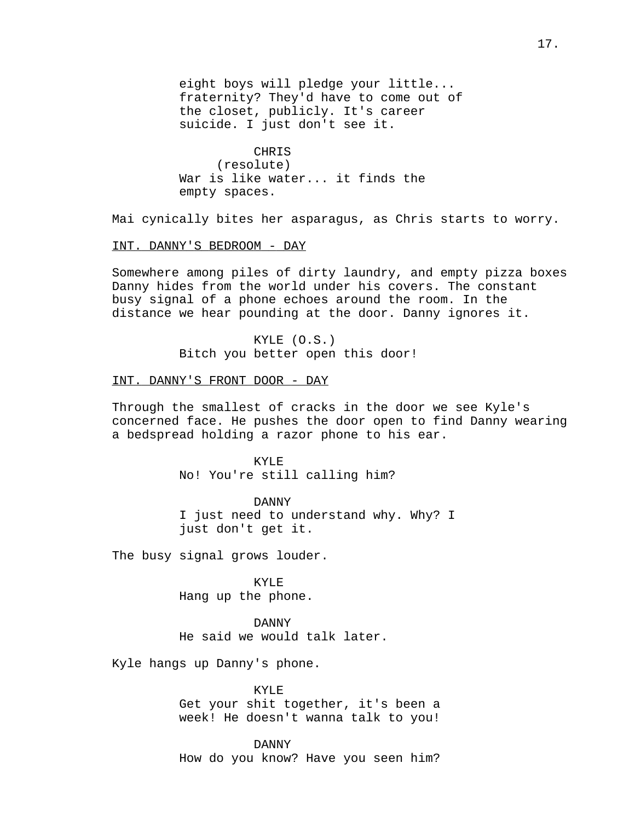eight boys will pledge your little... fraternity? They'd have to come out of the closet, publicly. It's career suicide. I just don't see it.

CHRIS (resolute) War is like water... it finds the empty spaces.

Mai cynically bites her asparagus, as Chris starts to worry.

## INT. DANNY'S BEDROOM - DAY

Somewhere among piles of dirty laundry, and empty pizza boxes Danny hides from the world under his covers. The constant busy signal of a phone echoes around the room. In the distance we hear pounding at the door. Danny ignores it.

> KYLE (O.S.) Bitch you better open this door!

## INT. DANNY'S FRONT DOOR - DAY

Through the smallest of cracks in the door we see Kyle's concerned face. He pushes the door open to find Danny wearing a bedspread holding a razor phone to his ear.

> KYLE No! You're still calling him?

DANNY I just need to understand why. Why? I just don't get it.

The busy signal grows louder.

KYLE Hang up the phone.

DANNY He said we would talk later.

Kyle hangs up Danny's phone.

KYLE Get your shit together, it's been a week! He doesn't wanna talk to you!

DANNY How do you know? Have you seen him?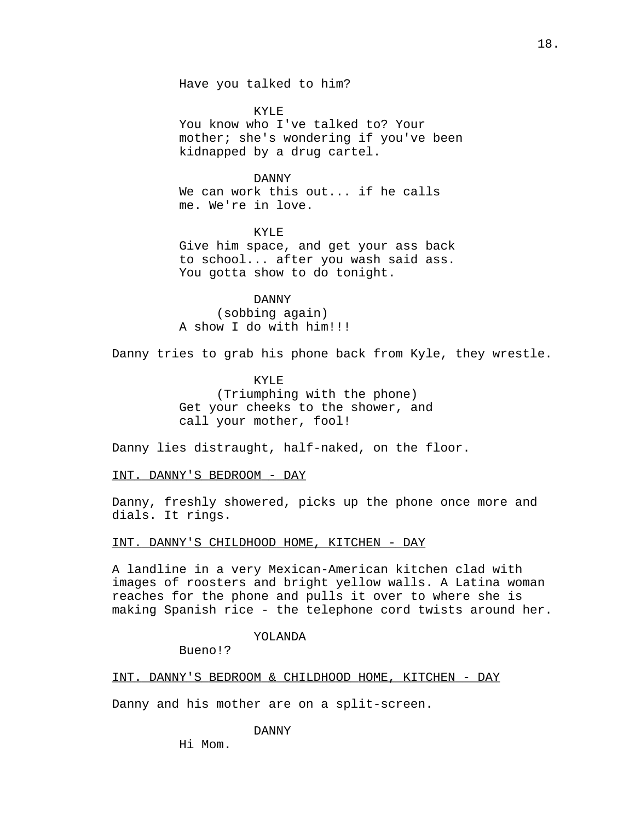Have you talked to him?

KYLE You know who I've talked to? Your mother; she's wondering if you've been kidnapped by a drug cartel.

DANNY

We can work this out... if he calls me. We're in love.

KYLE Give him space, and get your ass back to school... after you wash said ass. You gotta show to do tonight.

DANNY (sobbing again) A show I do with him!!!

Danny tries to grab his phone back from Kyle, they wrestle.

KYLE (Triumphing with the phone) Get your cheeks to the shower, and call your mother, fool!

Danny lies distraught, half-naked, on the floor.

INT. DANNY'S BEDROOM - DAY

Danny, freshly showered, picks up the phone once more and dials. It rings.

INT. DANNY'S CHILDHOOD HOME, KITCHEN - DAY

A landline in a very Mexican-American kitchen clad with images of roosters and bright yellow walls. A Latina woman reaches for the phone and pulls it over to where she is making Spanish rice - the telephone cord twists around her.

### YOLANDA

Bueno!?

INT. DANNY'S BEDROOM & CHILDHOOD HOME, KITCHEN - DAY

Danny and his mother are on a split-screen.

DANNY

Hi Mom.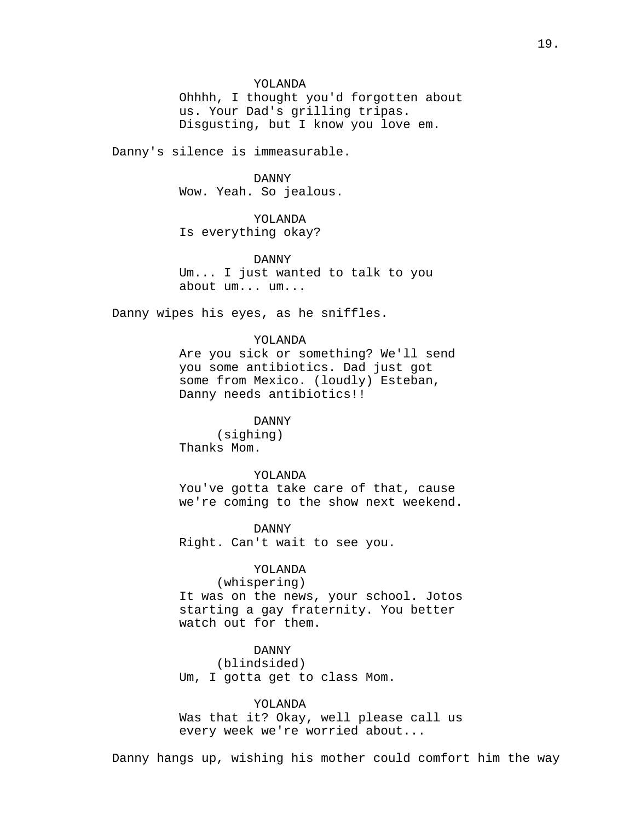## YOLANDA

Ohhhh, I thought you'd forgotten about us. Your Dad's grilling tripas. Disgusting, but I know you love em.

Danny's silence is immeasurable.

### DANNY

Wow. Yeah. So jealous.

## YOLANDA

Is everything okay?

### DANNY

Um... I just wanted to talk to you about um... um...

Danny wipes his eyes, as he sniffles.

### YOLANDA

Are you sick or something? We'll send you some antibiotics. Dad just got some from Mexico. (loudly) Esteban, Danny needs antibiotics!!

### DANNY

(sighing) Thanks Mom.

#### YOLANDA

You've gotta take care of that, cause we're coming to the show next weekend.

DANNY Right. Can't wait to see you.

## YOLANDA

(whispering) It was on the news, your school. Jotos starting a gay fraternity. You better watch out for them.

## DANNY

(blindsided) Um, I gotta get to class Mom.

YOLANDA

Was that it? Okay, well please call us every week we're worried about...

Danny hangs up, wishing his mother could comfort him the way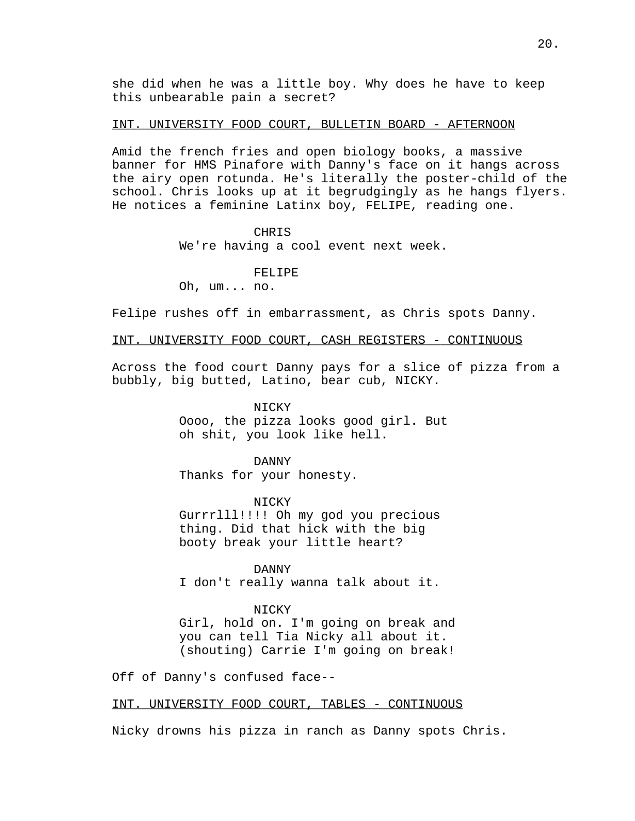she did when he was a little boy. Why does he have to keep this unbearable pain a secret?

### INT. UNIVERSITY FOOD COURT, BULLETIN BOARD - AFTERNOON

Amid the french fries and open biology books, a massive banner for HMS Pinafore with Danny's face on it hangs across the airy open rotunda. He's literally the poster-child of the school. Chris looks up at it begrudgingly as he hangs flyers. He notices a feminine Latinx boy, FELIPE, reading one.

**CHRIS** 

We're having a cool event next week.

FELIPE

Oh, um... no.

Felipe rushes off in embarrassment, as Chris spots Danny.

INT. UNIVERSITY FOOD COURT, CASH REGISTERS - CONTINUOUS

Across the food court Danny pays for a slice of pizza from a bubbly, big butted, Latino, bear cub, NICKY.

> **NICKY** Oooo, the pizza looks good girl. But oh shit, you look like hell.

DANNY Thanks for your honesty.

NICKY Gurrrlll!!!! Oh my god you precious thing. Did that hick with the big booty break your little heart?

DANNY I don't really wanna talk about it.

#### NICKY

Girl, hold on. I'm going on break and you can tell Tia Nicky all about it. (shouting) Carrie I'm going on break!

Off of Danny's confused face--

INT. UNIVERSITY FOOD COURT, TABLES - CONTINUOUS

Nicky drowns his pizza in ranch as Danny spots Chris.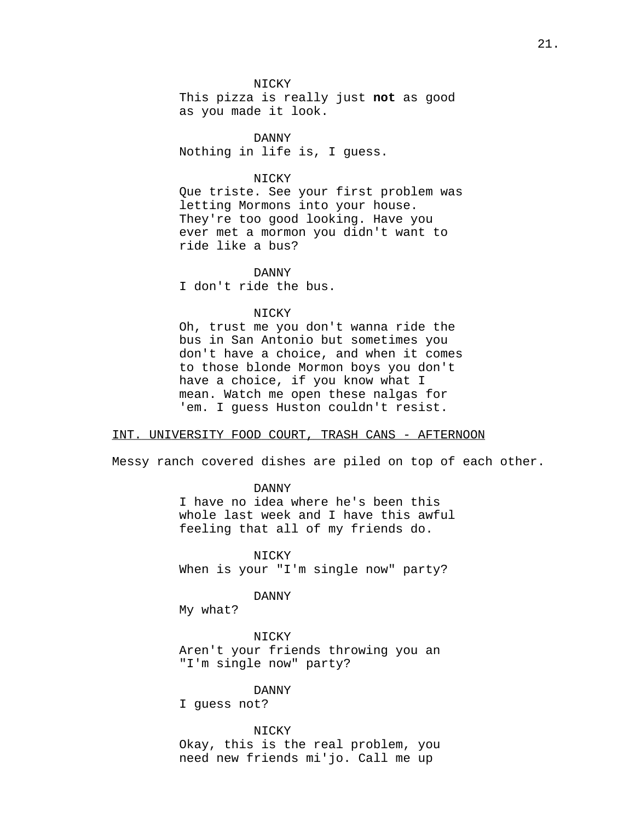NICKY

This pizza is really just not as good as you made it look.

DANNY Nothing in life is, I guess.

## NICKY

Que triste. See your first problem was letting Mormons into your house. They're too good looking. Have you ever met a mormon you didn't want to ride like a bus?

DANNY I don't ride the bus.

## NICKY

Oh, trust me you don't wanna ride the bus in San Antonio but sometimes you don't have a choice, and when it comes to those blonde Mormon boys you don't have a choice, if you know what I mean. Watch me open these nalgas for 'em. I guess Huston couldn't resist.

## INT. UNIVERSITY FOOD COURT, TRASH CANS - AFTERNOON

Messy ranch covered dishes are piled on top of each other.

DANNY I have no idea where he's been this whole last week and I have this awful feeling that all of my friends do.

NICKY When is your "I'm single now" party?

DANNY

My what?

NICKY Aren't your friends throwing you an "I'm single now" party?

### DANNY

I guess not?

## NICKY

Okay, this is the real problem, you need new friends mi'jo. Call me up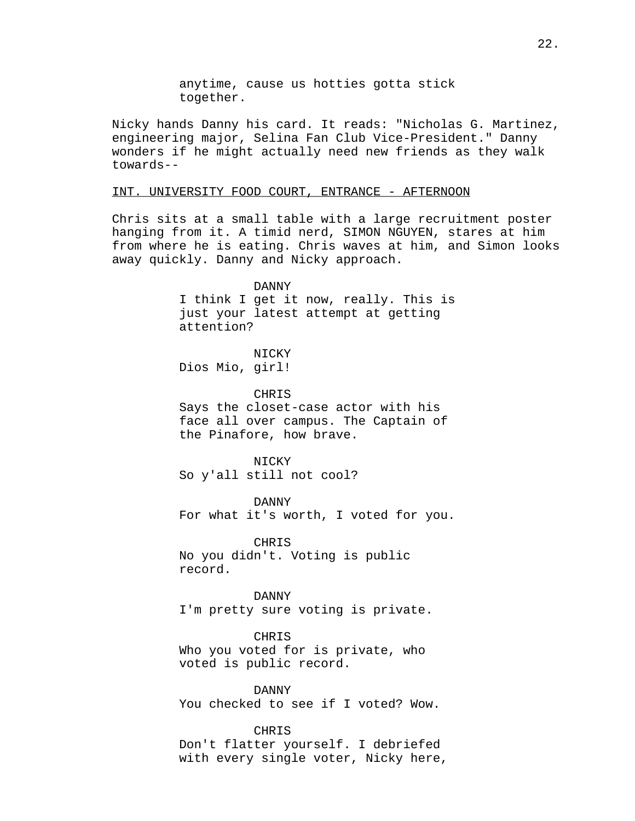anytime, cause us hotties gotta stick together.

Nicky hands Danny his card. It reads: "Nicholas G. Martinez, engineering major, Selina Fan Club Vice-President." Danny wonders if he might actually need new friends as they walk towards--

#### INT. UNIVERSITY FOOD COURT, ENTRANCE - AFTERNOON

Chris sits at a small table with a large recruitment poster hanging from it. A timid nerd, SIMON NGUYEN, stares at him from where he is eating. Chris waves at him, and Simon looks away quickly. Danny and Nicky approach.

#### DANNY

I think I get it now, really. This is just your latest attempt at getting attention?

**NICKY** Dios Mio, girl!

CHRIS

Says the closet-case actor with his face all over campus. The Captain of the Pinafore, how brave.

NICKY So y'all still not cool?

DANNY For what it's worth, I voted for you.

CHRIS No you didn't. Voting is public record.

DANNY I'm pretty sure voting is private.

CHRIS Who you voted for is private, who voted is public record.

DANNY You checked to see if I voted? Wow.

CHRIS Don't flatter yourself. I debriefed with every single voter, Nicky here,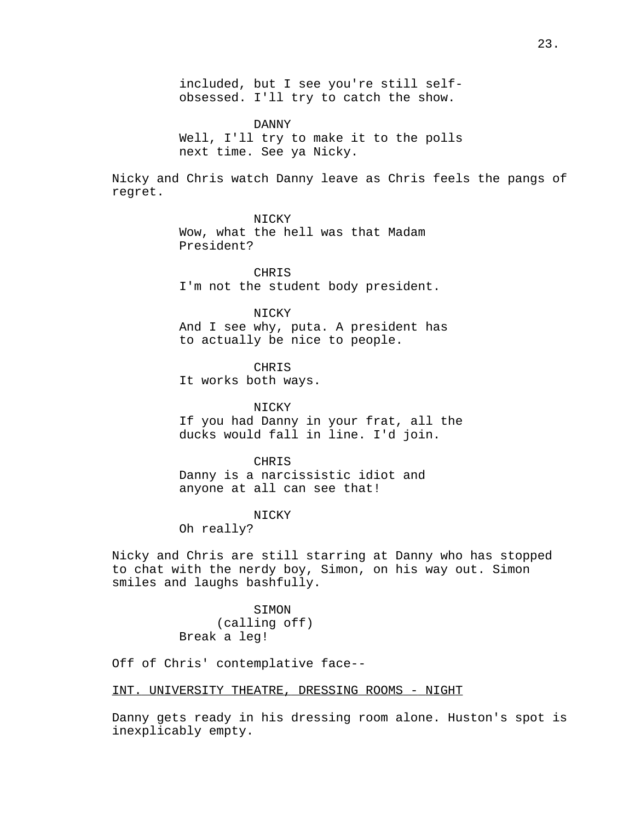included, but I see you're still selfobsessed. I'll try to catch the show.

DANNY Well, I'll try to make it to the polls next time. See ya Nicky.

Nicky and Chris watch Danny leave as Chris feels the pangs of regret.

## NICKY

Wow, what the hell was that Madam President?

CHRIS I'm not the student body president.

NICKY And I see why, puta. A president has to actually be nice to people.

CHRIS

It works both ways.

NICKY If you had Danny in your frat, all the ducks would fall in line. I'd join.

CHRIS Danny is a narcissistic idiot and anyone at all can see that!

## NICKY

Oh really?

Nicky and Chris are still starring at Danny who has stopped to chat with the nerdy boy, Simon, on his way out. Simon smiles and laughs bashfully.

> SIMON (calling off) Break a leg!

Off of Chris' contemplative face--

INT. UNIVERSITY THEATRE, DRESSING ROOMS - NIGHT

Danny gets ready in his dressing room alone. Huston's spot is inexplicably empty.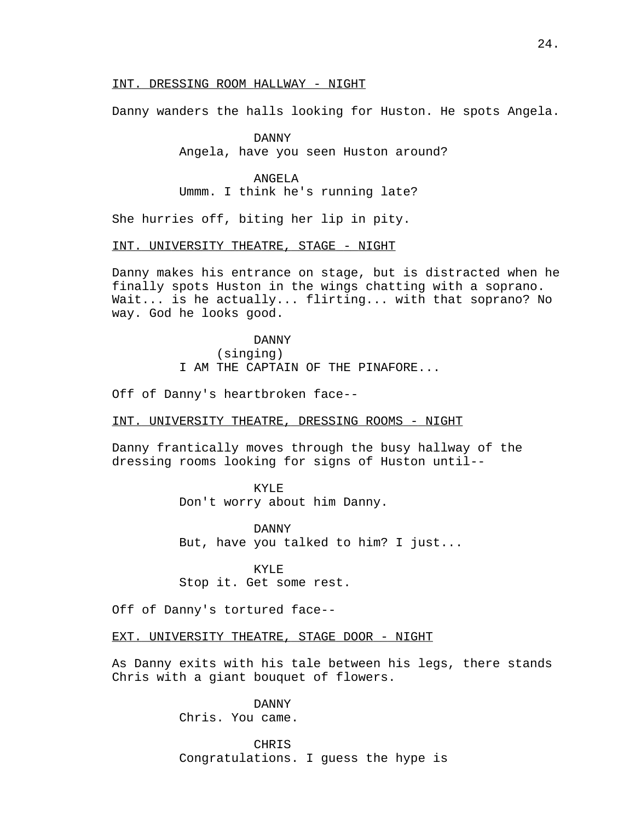## INT. DRESSING ROOM HALLWAY - NIGHT

Danny wanders the halls looking for Huston. He spots Angela.

DANNY Angela, have you seen Huston around?

## ANGELA

Ummm. I think he's running late?

She hurries off, biting her lip in pity.

INT. UNIVERSITY THEATRE, STAGE - NIGHT

Danny makes his entrance on stage, but is distracted when he finally spots Huston in the wings chatting with a soprano. Wait... is he actually... flirting... with that soprano? No way. God he looks good.

> DANNY (singing) I AM THE CAPTAIN OF THE PINAFORE...

Off of Danny's heartbroken face--

INT. UNIVERSITY THEATRE, DRESSING ROOMS - NIGHT

Danny frantically moves through the busy hallway of the dressing rooms looking for signs of Huston until--

#### KYLE

Don't worry about him Danny.

DANNY But, have you talked to him? I just...

KYLE Stop it. Get some rest.

Off of Danny's tortured face--

EXT. UNIVERSITY THEATRE, STAGE DOOR - NIGHT

As Danny exits with his tale between his legs, there stands Chris with a giant bouquet of flowers.

> DANNY Chris. You came.

CHRIS Congratulations. I guess the hype is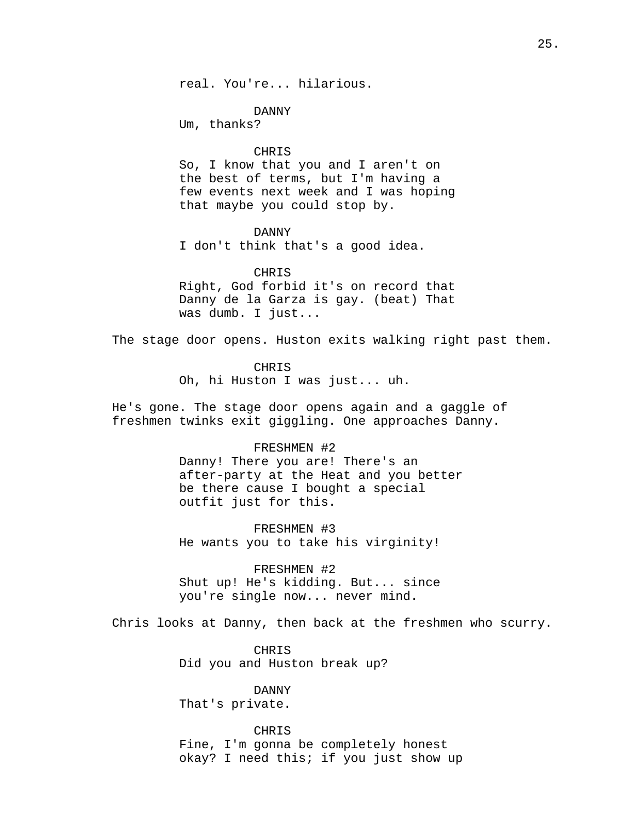real. You're... hilarious.

DANNY

Um, thanks?

#### CHRIS

So, I know that you and I aren't on the best of terms, but I'm having a few events next week and I was hoping that maybe you could stop by.

### DANNY

I don't think that's a good idea.

## CHRIS

Right, God forbid it's on record that Danny de la Garza is gay. (beat) That was dumb. I just...

The stage door opens. Huston exits walking right past them.

### CHRIS

Oh, hi Huston I was just... uh.

He's gone. The stage door opens again and a gaggle of freshmen twinks exit giggling. One approaches Danny.

## FRESHMEN #2

Danny! There you are! There's an after-party at the Heat and you better be there cause I bought a special outfit just for this.

#### FRESHMEN #3

He wants you to take his virginity!

## FRESHMEN #2

Shut up! He's kidding. But... since you're single now... never mind.

Chris looks at Danny, then back at the freshmen who scurry.

CHRIS Did you and Huston break up?

DANNY That's private.

## CHRIS

Fine, I'm gonna be completely honest okay? I need this; if you just show up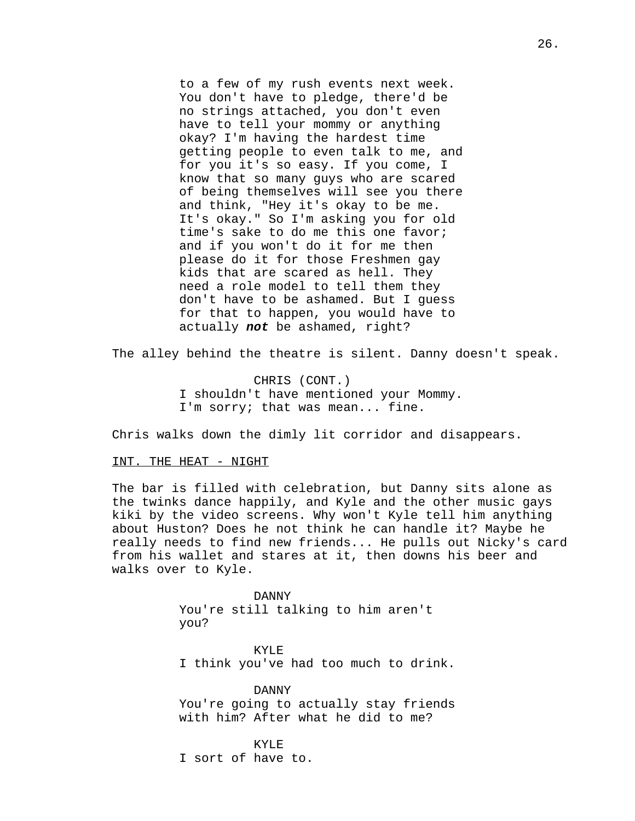to a few of my rush events next week. You don't have to pledge, there'd be no strings attached, you don't even have to tell your mommy or anything okay? I'm having the hardest time getting people to even talk to me, and for you it's so easy. If you come, I know that so many guys who are scared of being themselves will see you there and think, "Hey it's okay to be me. It's okay." So I'm asking you for old time's sake to do me this one favor; and if you won't do it for me then please do it for those Freshmen gay kids that are scared as hell. They need a role model to tell them they don't have to be ashamed. But I guess for that to happen, you would have to actually **not** be ashamed, right?

The alley behind the theatre is silent. Danny doesn't speak.

CHRIS (CONT.) I shouldn't have mentioned your Mommy. I'm sorry; that was mean... fine.

Chris walks down the dimly lit corridor and disappears.

### INT. THE HEAT - NIGHT

The bar is filled with celebration, but Danny sits alone as the twinks dance happily, and Kyle and the other music gays kiki by the video screens. Why won't Kyle tell him anything about Huston? Does he not think he can handle it? Maybe he really needs to find new friends... He pulls out Nicky's card from his wallet and stares at it, then downs his beer and walks over to Kyle.

> DANNY You're still talking to him aren't you?

KYLE I think you've had too much to drink.

DANNY You're going to actually stay friends with him? After what he did to me?

KYLE I sort of have to.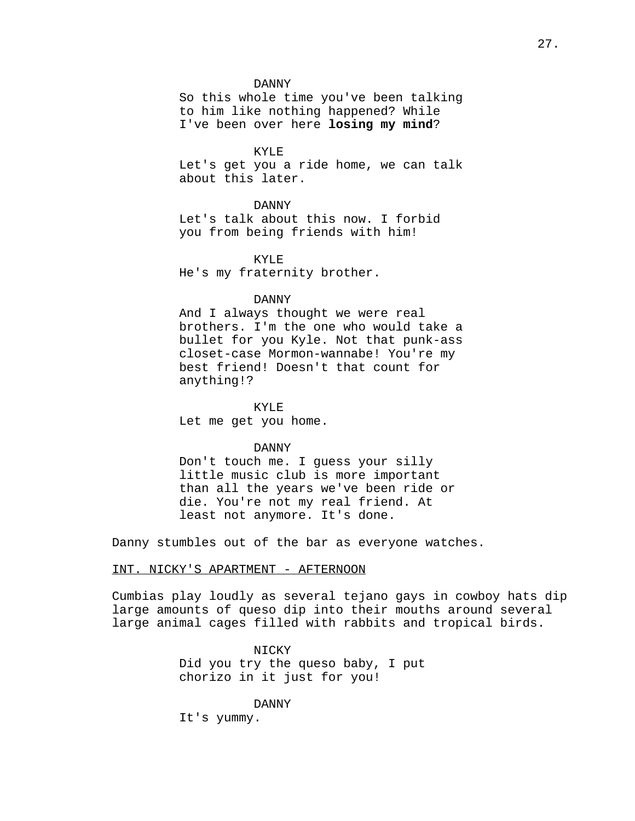#### DANNY

So this whole time you've been talking to him like nothing happened? While I've been over here losing my mind?

#### KYLE

Let's get you a ride home, we can talk about this later.

#### DANNY

Let's talk about this now. I forbid you from being friends with him!

KYLE He's my fraternity brother.

#### DANNY

And I always thought we were real brothers. I'm the one who would take a bullet for you Kyle. Not that punk-ass closet-case Mormon-wannabe! You're my best friend! Doesn't that count for anything!?

KYLE

Let me get you home.

### DANNY

Don't touch me. I guess your silly little music club is more important than all the years we've been ride or die. You're not my real friend. At least not anymore. It's done.

Danny stumbles out of the bar as everyone watches.

### INT. NICKY'S APARTMENT - AFTERNOON

Cumbias play loudly as several tejano gays in cowboy hats dip large amounts of queso dip into their mouths around several large animal cages filled with rabbits and tropical birds.

### NICKY

Did you try the queso baby, I put chorizo in it just for you!

DANNY It's yummy.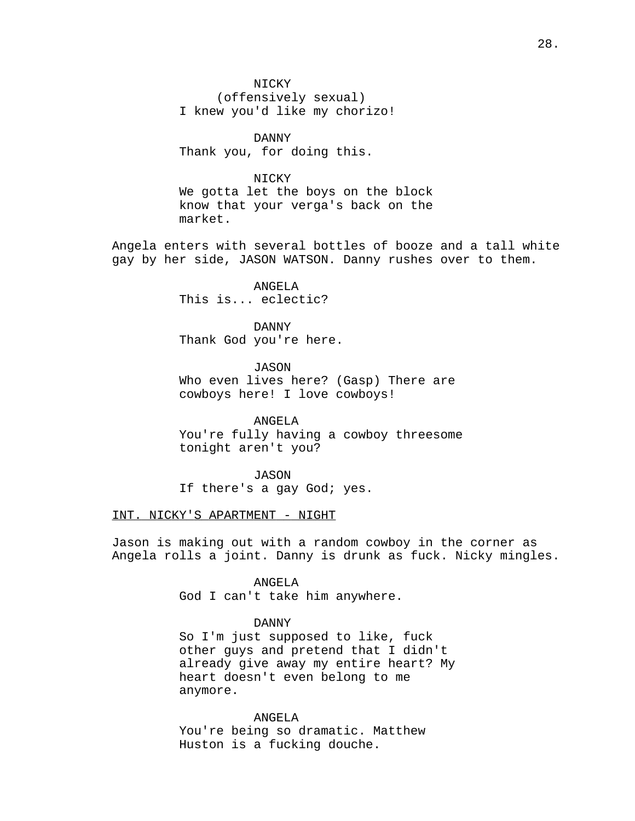NICKY

(offensively sexual) I knew you'd like my chorizo!

DANNY Thank you, for doing this.

## NICKY

We gotta let the boys on the block know that your verga's back on the market.

Angela enters with several bottles of booze and a tall white gay by her side, JASON WATSON. Danny rushes over to them.

> ANGELA This is... eclectic?

DANNY Thank God you're here.

JASON Who even lives here? (Gasp) There are cowboys here! I love cowboys!

ANGELA You're fully having a cowboy threesome tonight aren't you?

JASON If there's a gay God; yes.

### INT. NICKY'S APARTMENT - NIGHT

Jason is making out with a random cowboy in the corner as Angela rolls a joint. Danny is drunk as fuck. Nicky mingles.

> ANGELA God I can't take him anywhere.

## DANNY

So I'm just supposed to like, fuck other guys and pretend that I didn't already give away my entire heart? My heart doesn't even belong to me anymore.

ANGELA You're being so dramatic. Matthew Huston is a fucking douche.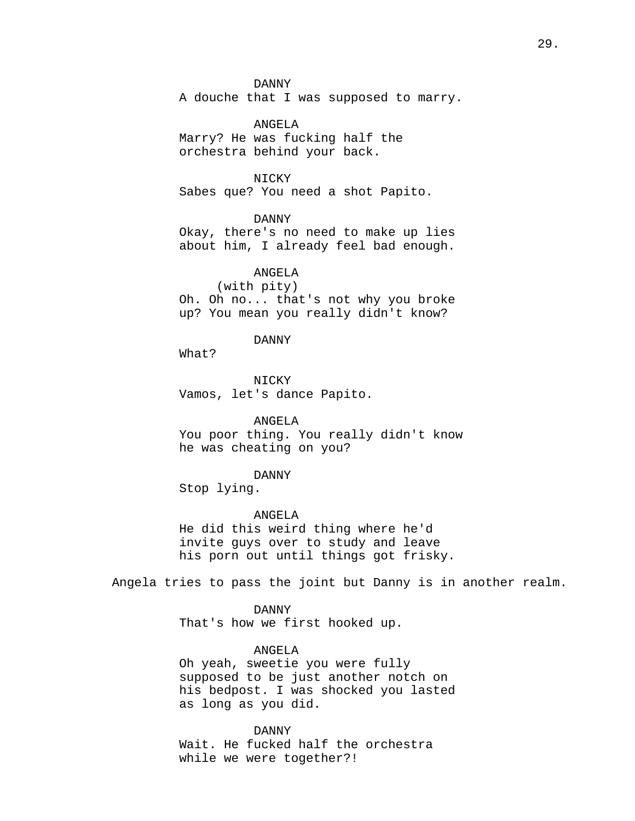### DANNY

A douche that I was supposed to marry.

ANGELA Marry? He was fucking half the orchestra behind your back.

NICKY

Sabes que? You need a shot Papito.

DANNY

Okay, there's no need to make up lies about him, I already feel bad enough.

ANGELA

#### (with pity)

Oh. Oh no... that's not why you broke up? You mean you really didn't know?

#### DANNY

What?

NICKY Vamos, let's dance Papito.

ANGELA You poor thing. You really didn't know he was cheating on you?

#### DANNY

Stop lying.

ANGELA

He did this weird thing where he'd invite guys over to study and leave his porn out until things got frisky.

Angela tries to pass the joint but Danny is in another realm.

DANNY

That's how we first hooked up.

## ANGELA

Oh yeah, sweetie you were fully supposed to be just another notch on his bedpost. I was shocked you lasted as long as you did.

DANNY

Wait. He fucked half the orchestra while we were together?!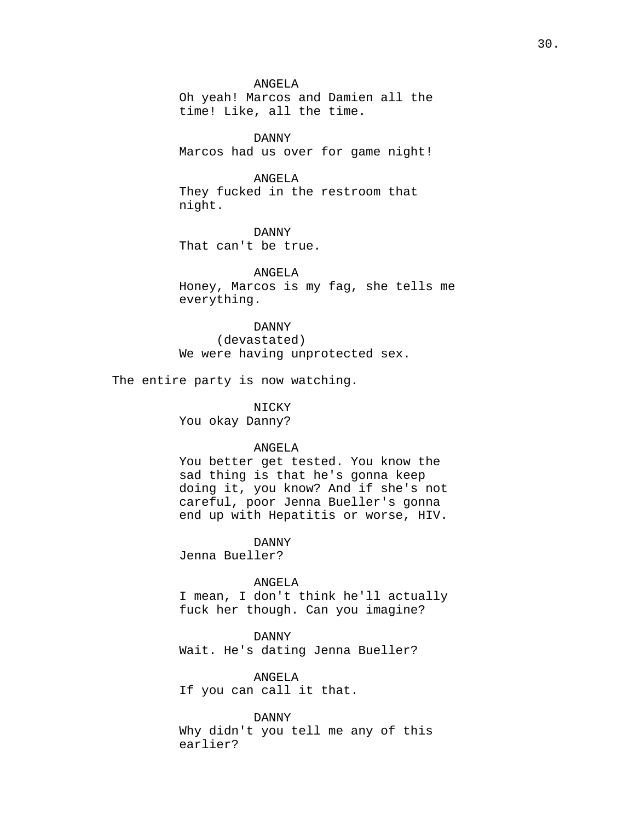ANGELA

Oh yeah! Marcos and Damien all the time! Like, all the time.

DANNY Marcos had us over for game night!

## ANGELA

They fucked in the restroom that night.

DANNY That can't be true.

ANGELA Honey, Marcos is my fag, she tells me everything.

## DANNY

(devastated) We were having unprotected sex.

The entire party is now watching.

NICKY

You okay Danny?

#### ANGELA

You better get tested. You know the sad thing is that he's gonna keep doing it, you know? And if she's not careful, poor Jenna Bueller's gonna end up with Hepatitis or worse, HIV.

### DANNY

Jenna Bueller?

#### ANGELA

I mean, I don't think he'll actually fuck her though. Can you imagine?

DANNY Wait. He's dating Jenna Bueller?

ANGELA

If you can call it that.

DANNY

Why didn't you tell me any of this earlier?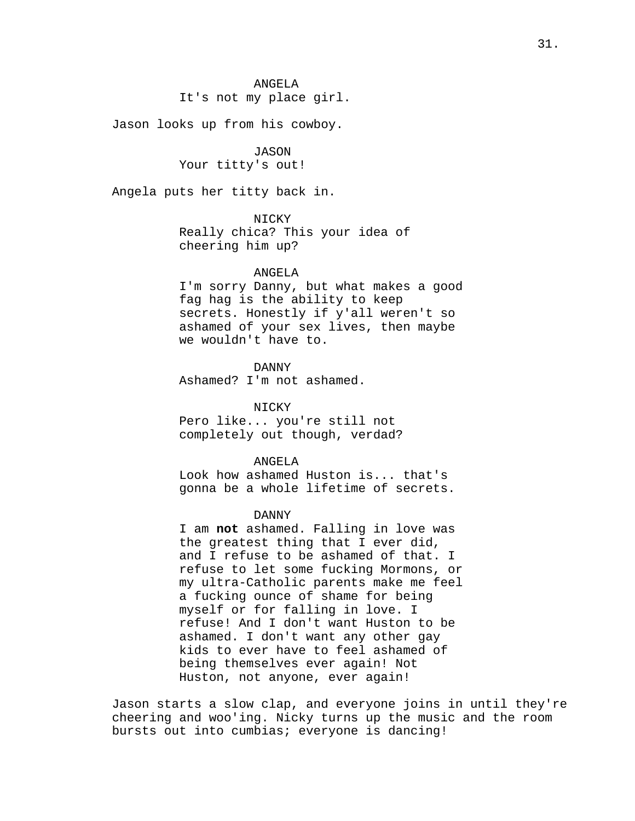It's not my place girl.

Jason looks up from his cowboy.

JASON Your titty's out!

Angela puts her titty back in.

NICKY Really chica? This your idea of cheering him up?

#### ANGELA

I'm sorry Danny, but what makes a good fag hag is the ability to keep secrets. Honestly if y'all weren't so ashamed of your sex lives, then maybe we wouldn't have to.

DANNY

Ashamed? I'm not ashamed.

**NICKY** 

Pero like... you're still not completely out though, verdad?

## ANGELA

Look how ashamed Huston is... that's gonna be a whole lifetime of secrets.

#### DANNY

I am not ashamed. Falling in love was the greatest thing that I ever did, and I refuse to be ashamed of that. I refuse to let some fucking Mormons, or my ultra-Catholic parents make me feel a fucking ounce of shame for being myself or for falling in love. I refuse! And I don't want Huston to be ashamed. I don't want any other gay kids to ever have to feel ashamed of being themselves ever again! Not Huston, not anyone, ever again!

Jason starts a slow clap, and everyone joins in until they're cheering and woo'ing. Nicky turns up the music and the room bursts out into cumbias; everyone is dancing!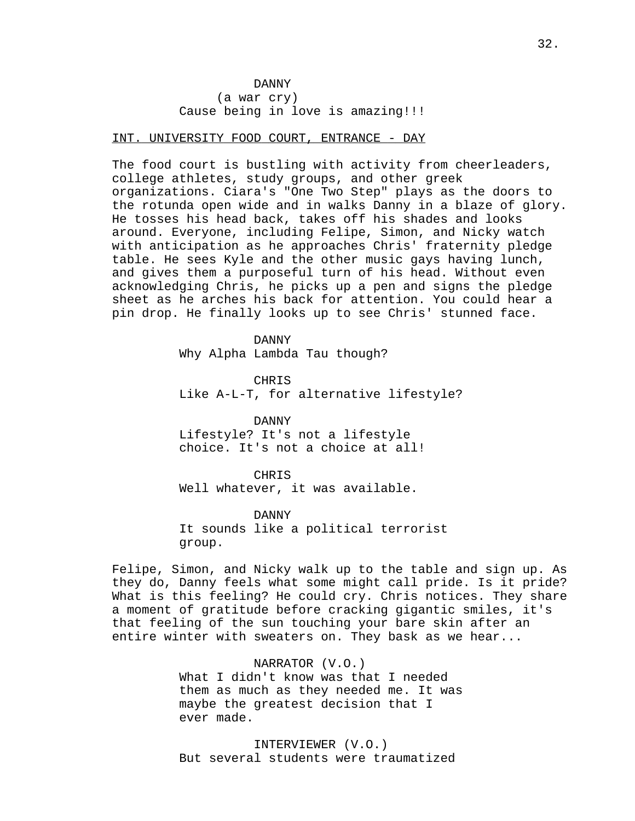## DANNY (a war cry) Cause being in love is amazing!!!

### INT. UNIVERSITY FOOD COURT, ENTRANCE - DAY

The food court is bustling with activity from cheerleaders, college athletes, study groups, and other greek organizations. Ciara's "One Two Step" plays as the doors to the rotunda open wide and in walks Danny in a blaze of glory. He tosses his head back, takes off his shades and looks around. Everyone, including Felipe, Simon, and Nicky watch with anticipation as he approaches Chris' fraternity pledge table. He sees Kyle and the other music gays having lunch, and gives them a purposeful turn of his head. Without even acknowledging Chris, he picks up a pen and signs the pledge sheet as he arches his back for attention. You could hear a pin drop. He finally looks up to see Chris' stunned face.

> DANNY Why Alpha Lambda Tau though?

CHRIS Like A-L-T, for alternative lifestyle?

DANNY Lifestyle? It's not a lifestyle choice. It's not a choice at all!

CHRIS

Well whatever, it was available.

DANNY It sounds like a political terrorist group.

Felipe, Simon, and Nicky walk up to the table and sign up. As they do, Danny feels what some might call pride. Is it pride? What is this feeling? He could cry. Chris notices. They share a moment of gratitude before cracking gigantic smiles, it's that feeling of the sun touching your bare skin after an entire winter with sweaters on. They bask as we hear...

> NARRATOR (V.O.) What I didn't know was that I needed them as much as they needed me. It was maybe the greatest decision that I ever made.

INTERVIEWER (V.O.) But several students were traumatized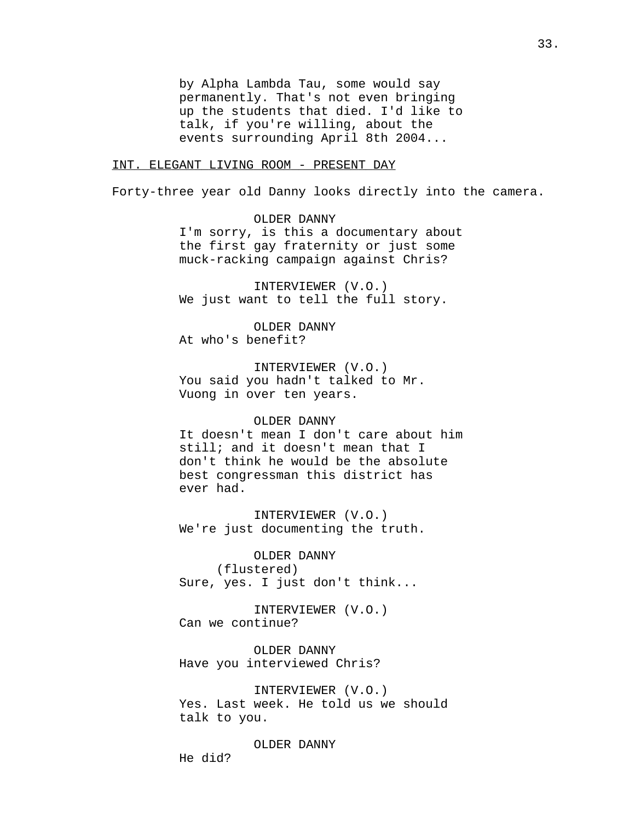by Alpha Lambda Tau, some would say permanently. That's not even bringing up the students that died. I'd like to talk, if you're willing, about the events surrounding April 8th 2004...

### INT. ELEGANT LIVING ROOM - PRESENT DAY

Forty-three year old Danny looks directly into the camera.

OLDER DANNY I'm sorry, is this a documentary about the first gay fraternity or just some muck-racking campaign against Chris?

INTERVIEWER (V.O.) We just want to tell the full story.

OLDER DANNY At who's benefit?

INTERVIEWER (V.O.) You said you hadn't talked to Mr. Vuong in over ten years.

### OLDER DANNY

It doesn't mean I don't care about him still; and it doesn't mean that I don't think he would be the absolute best congressman this district has ever had.

INTERVIEWER (V.O.) We're just documenting the truth.

OLDER DANNY (flustered) Sure, yes. I just don't think...

INTERVIEWER (V.O.) Can we continue?

OLDER DANNY Have you interviewed Chris?

INTERVIEWER (V.O.) Yes. Last week. He told us we should talk to you.

OLDER DANNY

He did?